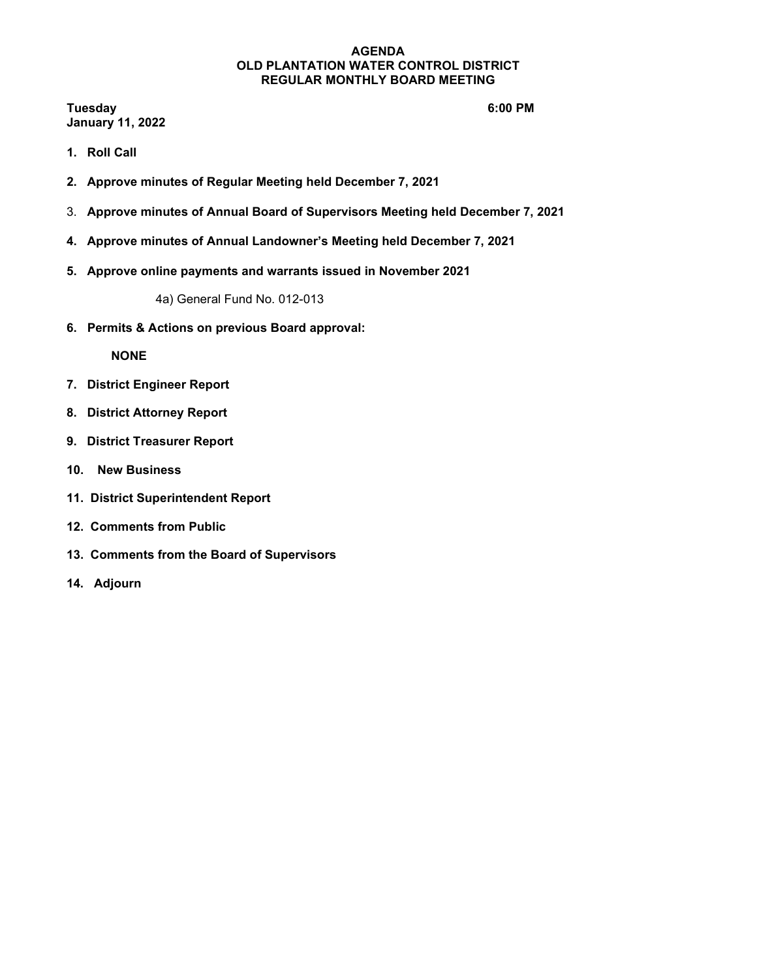**Tuesday 6:00 PM January 11, 2022**

- **1. Roll Call**
- **2. Approve minutes of Regular Meeting held December 7, 2021**
- 3. **Approve minutes of Annual Board of Supervisors Meeting held December 7, 2021**
- **4. Approve minutes of Annual Landowner's Meeting held December 7, 2021**
- **5. Approve online payments and warrants issued in November 2021**

4a) General Fund No. 012-013

**6. Permits & Actions on previous Board approval:**

**NONE**

- **7. District Engineer Report**
- **8. District Attorney Report**
- **9. District Treasurer Report**
- **10. New Business**
- **11. District Superintendent Report**
- **12. Comments from Public**
- **13. Comments from the Board of Supervisors**
- **14. Adjourn**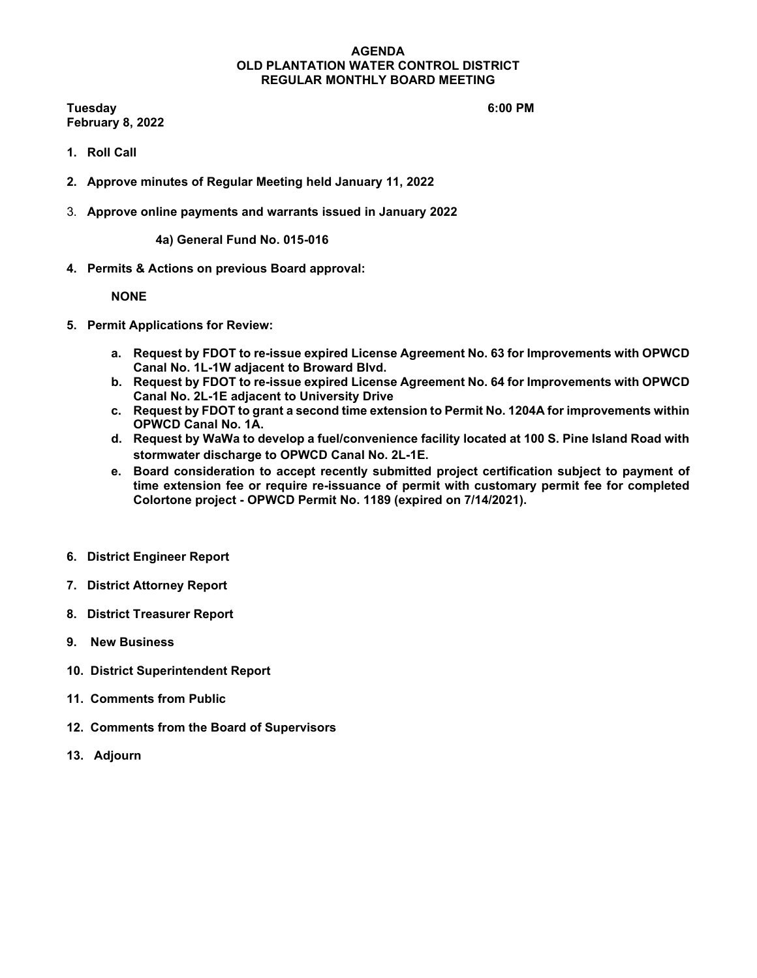**Tuesday 6:00 PM February 8, 2022**

- **1. Roll Call**
- **2. Approve minutes of Regular Meeting held January 11, 2022**
- 3. **Approve online payments and warrants issued in January 2022**

**4a) General Fund No. 015-016**

**4. Permits & Actions on previous Board approval:**

# **NONE**

- **5. Permit Applications for Review:** 
	- **a. Request by FDOT to re-issue expired License Agreement No. 63 for Improvements with OPWCD Canal No. 1L-1W adjacent to Broward Blvd.**
	- **b. Request by FDOT to re-issue expired License Agreement No. 64 for Improvements with OPWCD Canal No. 2L-1E adjacent to University Drive**
	- **c. Request by FDOT to grant a second time extension to Permit No. 1204A for improvements within OPWCD Canal No. 1A.**
	- **d. Request by WaWa to develop a fuel/convenience facility located at 100 S. Pine Island Road with stormwater discharge to OPWCD Canal No. 2L-1E.**
	- **e. Board consideration to accept recently submitted project certification subject to payment of time extension fee or require re-issuance of permit with customary permit fee for completed Colortone project - OPWCD Permit No. 1189 (expired on 7/14/2021).**
- **6. District Engineer Report**
- **7. District Attorney Report**
- **8. District Treasurer Report**
- **9. New Business**
- **10. District Superintendent Report**
- **11. Comments from Public**
- **12. Comments from the Board of Supervisors**
- **13. Adjourn**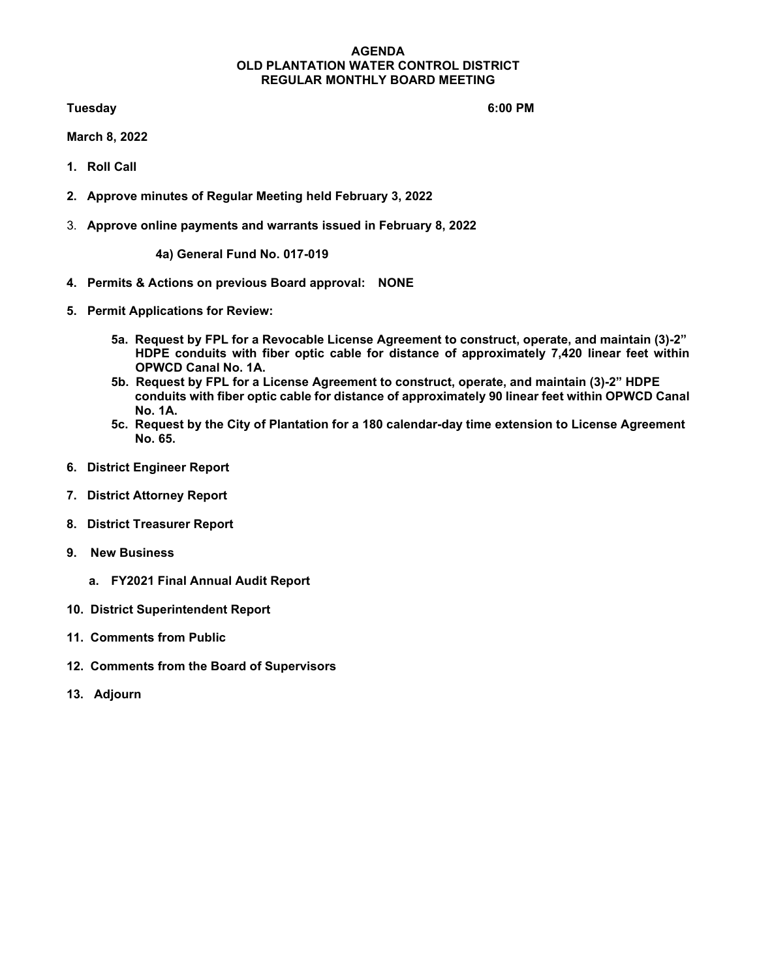**Tuesday 6:00 PM** 

**March 8, 2022**

- **1. Roll Call**
- **2. Approve minutes of Regular Meeting held February 3, 2022**
- 3. **Approve online payments and warrants issued in February 8, 2022**

**4a) General Fund No. 017-019**

- **4. Permits & Actions on previous Board approval: NONE**
- **5. Permit Applications for Review:** 
	- **5a. Request by FPL for a Revocable License Agreement to construct, operate, and maintain (3)-2" HDPE conduits with fiber optic cable for distance of approximately 7,420 linear feet within OPWCD Canal No. 1A.**
	- **5b. Request by FPL for a License Agreement to construct, operate, and maintain (3)-2" HDPE conduits with fiber optic cable for distance of approximately 90 linear feet within OPWCD Canal No. 1A.**
	- **5c. Request by the City of Plantation for a 180 calendar-day time extension to License Agreement No. 65.**
- **6. District Engineer Report**
- **7. District Attorney Report**
- **8. District Treasurer Report**
- **9. New Business**
	- **a. FY2021 Final Annual Audit Report**
- **10. District Superintendent Report**
- **11. Comments from Public**
- **12. Comments from the Board of Supervisors**
- **13. Adjourn**